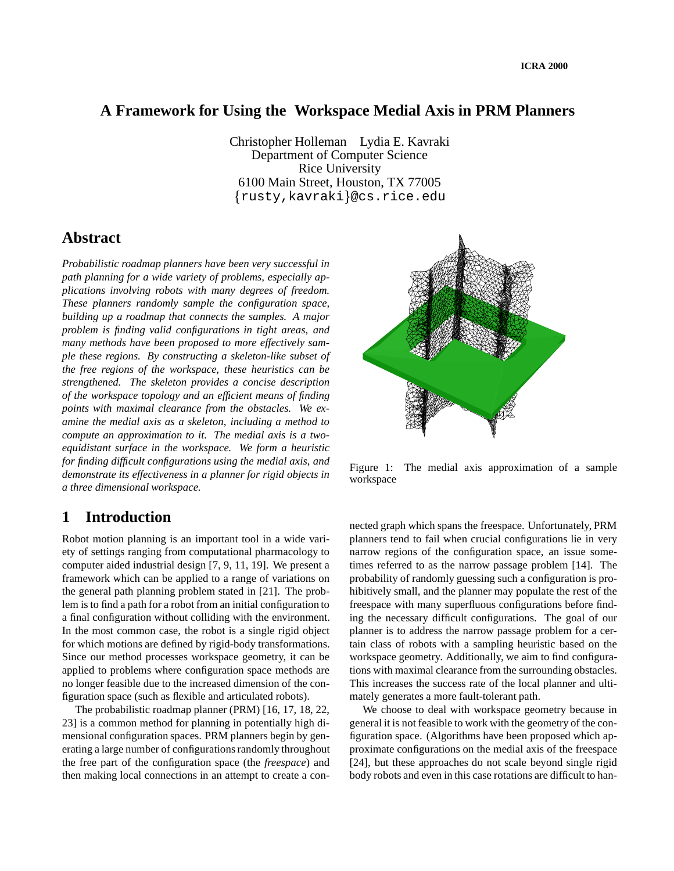# **A Framework for Using the Workspace Medial Axis in PRM Planners**

Christopher Holleman Lydia E. Kavraki Department of Computer Science Rice University 6100 Main Street, Houston, TX 77005  $\{{\tt rusty}$ ,kavraki $\}$ @cs.rice.edu

### **Abstract**

*Probabilistic roadmap planners have been very successful in path planning for a wide variety of problems, especially applications involving robots with many degrees of freedom. These planners randomly sample the configuration space, building up a roadmap that connects the samples. A major problem is finding valid configurations in tight areas, and many methods have been proposed to more effectively sample these regions. By constructing a skeleton-like subset of the free regions of the workspace, these heuristics can be strengthened. The skeleton provides a concise description of the workspace topology and an efficient means of finding points with maximal clearance from the obstacles. We examine the medial axis as a skeleton, including a method to compute an approximation to it. The medial axis is a twoequidistant surface in the workspace. We form a heuristic for finding difficult configurations using the medial axis, and demonstrate its effectiveness in a planner for rigid objects in a three dimensional workspace.*

## **1 Introduction**

Robot motion planning is an important tool in a wide variety of settings ranging from computational pharmacology to computer aided industrial design [7, 9, 11, 19]. We present a framework which can be applied to a range of variations on the general path planning problem stated in [21]. The problem is to find a path for a robot from an initial configuration to a final configuration without colliding with the environment. In the most common case, the robot is a single rigid object for which motions are defined by rigid-body transformations. Since our method processes workspace geometry, it can be applied to problems where configuration space methods are no longer feasible due to the increased dimension of the configuration space (such as flexible and articulated robots).

The probabilistic roadmap planner (PRM) [16, 17, 18, 22, 23] is a common method for planning in potentially high dimensional configuration spaces. PRM planners begin by generating a large number of configurations randomly throughout the free part of the configuration space (the *freespace*) and then making local connections in an attempt to create a con-



Figure 1: The medial axis approximation of a sample workspace

nected graph which spans the freespace. Unfortunately, PRM planners tend to fail when crucial configurations lie in very narrow regions of the configuration space, an issue sometimes referred to as the narrow passage problem [14]. The probability of randomly guessing such a configuration is prohibitively small, and the planner may populate the rest of the freespace with many superfluous configurations before finding the necessary difficult configurations. The goal of our planner is to address the narrow passage problem for a certain class of robots with a sampling heuristic based on the workspace geometry. Additionally, we aim to find configurations with maximal clearance from the surrounding obstacles. This increases the success rate of the local planner and ultimately generates a more fault-tolerant path.

We choose to deal with workspace geometry because in general it is not feasible to work with the geometry of the configuration space. (Algorithms have been proposed which approximate configurations on the medial axis of the freespace [24], but these approaches do not scale beyond single rigid body robots and even in this case rotations are difficult to han-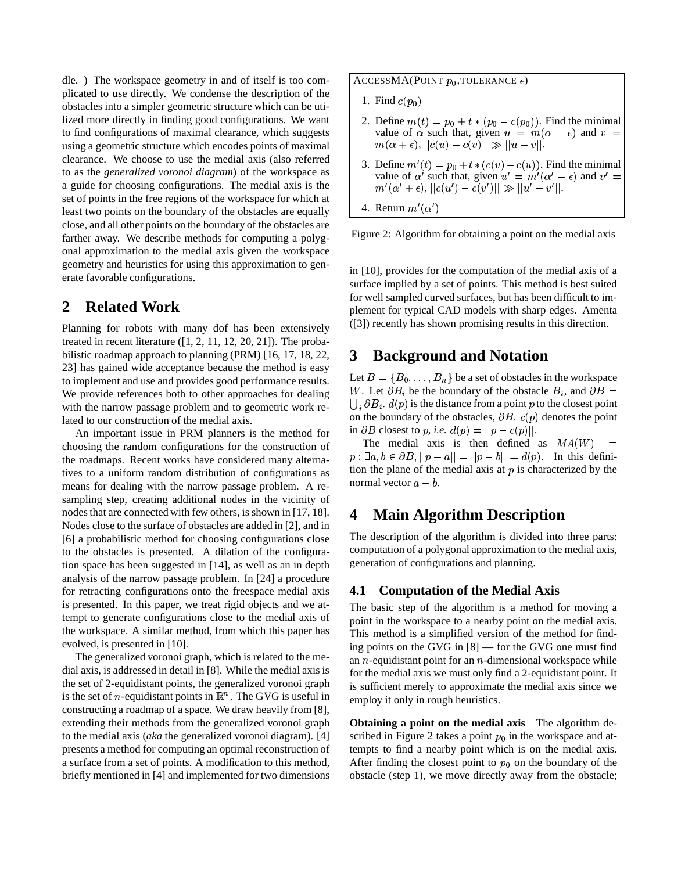dle. ) The workspace geometry in and of itself is too complicated to use directly. We condense the description of the obstacles into a simpler geometric structure which can be utilized more directly in finding good configurations. We want to find configurations of maximal clearance, which suggests using a geometric structure which encodes points of maximal clearance. We choose to use the medial axis (also referred to as the *generalized voronoi diagram*) of the workspace as a guide for choosing configurations. The medial axis is the set of points in the free regions of the workspace for which at least two points on the boundary of the obstacles are equally close, and all other points on the boundary of the obstacles are farther away. We describe methods for computing a polygonal approximation to the medial axis given the workspace geometry and heuristics for using this approximation to generate favorable configurations.

## **2 Related Work**

Planning for robots with many dof has been extensively treated in recent literature  $([1, 2, 11, 12, 20, 21])$ . The probabilistic roadmap approach to planning (PRM) [16, 17, 18, 22, 23] has gained wide acceptance because the method is easy to implement and use and provides good performance results. We provide references both to other approaches for dealing with the narrow passage problem and to geometric work related to our construction of the medial axis.

An important issue in PRM planners is the method for choosing the random configurations for the construction of the roadmaps. Recent works have considered many alternatives to a uniform random distribution of configurations as means for dealing with the narrow passage problem. A resampling step, creating additional nodes in the vicinity of nodes that are connected with few others, is shown in [17, 18]. Nodes close to the surface of obstacles are added in [2], and in [6] a probabilistic method for choosing configurations close to the obstacles is presented. A dilation of the configuration space has been suggested in [14], as well as an in depth analysis of the narrow passage problem. In [24] a procedure for retracting configurations onto the freespace medial axis is presented. In this paper, we treat rigid objects and we attempt to generate configurations close to the medial axis of the workspace. A similar method, from which this paper has evolved, is presented in [10].

The generalized voronoi graph, which is related to the medial axis, is addressed in detail in [8]. While the medial axis is the set of 2-equidistant points, the generalized voronoi graph is the set of *n*-equidistant points in  $\mathbb{R}^n$ . The GVG is useful in constructing a roadmap of a space. We draw heavily from [8], extending their methods from the generalized voronoi graph to the medial axis (*aka* the generalized voronoi diagram). [4] presents a method for computing an optimal reconstruction of a surface from a set of points. A modification to this method, briefly mentioned in [4] and implemented for two dimensions ACCESSMA(POINT  $p_0$ , TOLERANCE  $\epsilon$ )

- 1. Find  $c(p_0)$
- 2. Define  $m(t) = p_0 + t * (p_0 c(p_0))$ . Find the minimal value of  $\alpha$  such that, given  $u = m(\alpha - \epsilon)$  and  $v =$  $m(\alpha + \epsilon), ||c(u) - c(v)|| \gg ||u - v||.$
- 3. Define  $m'(t) = p_0 + t * (c(v) c(u))$ . Find the minimal value of  $\alpha'$  such that, given  $u' = m'(\alpha' - \epsilon)$  and  $v' =$  $m'(\alpha' + \epsilon), ||c(u') - c(v')|| \gg ||u' - v'||.$
- 4. Return  $m'(\alpha')$



in [10], provides for the computation of the medial axis of a surface implied by a set of points. This method is best suited for well sampled curved surfaces, but has been difficult to implement for typical CAD models with sharp edges. Amenta ([3]) recently has shown promising results in this direction.

# **3 Background and Notation**

Let  $B = \{B_0, \ldots, B_n\}$  be a set of obstacles in the workspace W. Let  $\partial B_i$  be the boundary of the obstacle  $B_i$ , and  $\partial B =$  $\bigcup_i \partial B_i$ .  $d(p)$  is the distance from a point p to the closest point on the boundary of the obstacles,  $\partial B$ .  $c(p)$  denotes the point in  $\partial B$  closest to p, *i.e.*  $d(p) = ||p - c(p)||$ .

The medial axis is then defined as  $MA(W)$  =  $\mathbf{r}$  $p: \exists a, b \in \partial B, ||p-a|| = ||p-b|| = d(p).$  In this definition the plane of the medial axis at  $p$  is characterized by the normal vector  $a - b$ .

# **4 Main Algorithm Description**

The description of the algorithm is divided into three parts: computation of a polygonal approximation to the medial axis, generation of configurations and planning.

### **4.1 Computation of the Medial Axis**

The basic step of the algorithm is a method for moving a point in the workspace to a nearby point on the medial axis. This method is a simplified version of the method for finding points on the GVG in [8] — for the GVG one must find an  $n$ -equidistant point for an  $n$ -dimensional workspace while for the medial axis we must only find a 2-equidistant point. It is sufficient merely to approximate the medial axis since we employ it only in rough heuristics.

**Obtaining a point on the medial axis** The algorithm described in Figure 2 takes a point  $p_0$  in the workspace and attempts to find a nearby point which is on the medial axis. After finding the closest point to  $p_0$  on the boundary of the obstacle (step 1), we move directly away from the obstacle;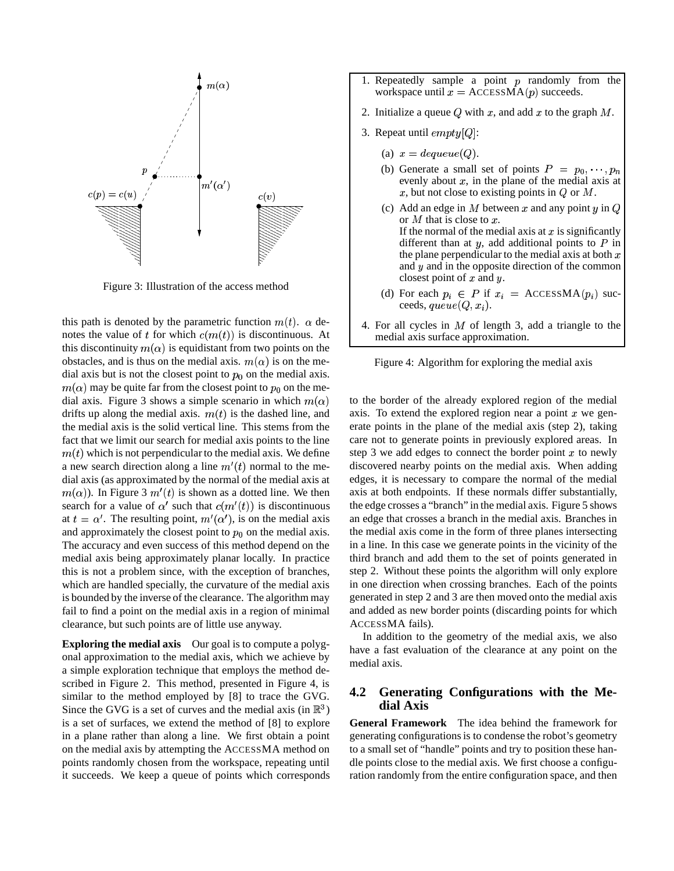

Figure 3: Illustration of the access method

this path is denoted by the parametric function  $m(t)$ .  $\alpha$  denotes the value of t for which  $c(m(t))$  is discontinuous. At this discontinuity  $m(\alpha)$  is equidistant from two points on the obstacles, and is thus on the medial axis.  $m(\alpha)$  is on the medial axis but is not the closest point to  $p_0$  on the medial axis.  $m(\alpha)$  may be quite far from the closest point to  $p_0$  on the medial axis. Figure 3 shows a simple scenario in which  $m(\alpha)$ drifts up along the medial axis.  $m(t)$  is the dashed line, and the medial axis is the solid vertical line. This stems from the fact that we limit our search for medial axis points to the line  $m(t)$  which is not perpendicular to the medial axis. We define a new search direction along a line  $m'(t)$  normal to the medial axis (as approximated by the normal of the medial axis at  $m(\alpha)$ ). In Figure 3  $m'(t)$  is shown as a dotted line. We then search for a value of  $\alpha'$  such that  $c(m'(t))$  is discontinuous at  $t = \alpha'$ . The resulting point,  $m'(\alpha')$ , is on the medial axis and approximately the closest point to  $p_0$  on the medial axis. The accuracy and even success of this method depend on the medial axis being approximately planar locally. In practice this is not a problem since, with the exception of branches, which are handled specially, the curvature of the medial axis is bounded by the inverse of the clearance. The algorithm may fail to find a point on the medial axis in a region of minimal clearance, but such points are of little use anyway.

**Exploring the medial axis** Our goal is to compute a polygonal approximation to the medial axis, which we achieve by a simple exploration technique that employs the method described in Figure 2. This method, presented in Figure 4, is similar to the method employed by [8] to trace the GVG. Since the GVG is a set of curves and the medial axis (in  $\mathbb{R}^3$ ) is a set of surfaces, we extend the method of [8] to explore in a plane rather than along a line. We first obtain a point on the medial axis by attempting the ACCESSMA method on points randomly chosen from the workspace, repeating until it succeeds. We keep a queue of points which corresponds

- Repeatedly sample a point  $p$  randomly from the workspace until  $x =$  ACCESSMA $(p)$  succeeds.
- 2. Initialize a queue Q with x, and add x to the graph M.
- 3. Repeat until  $empty [Q]$ :
	- (a)  $x =dequeue(Q)$ .
	- (b) Generate a small set of points  $P = p_0, \dots, p_n$ evenly about  $x$ , in the plane of the medial axis at  $x$ , but not close to existing points in  $Q$  or  $M$ .
	- the plane perpendicular to the medial axis at both  $x$ different than at y, add additional points to P in If the normal of the medial axis at  $x$  is significantly or  $M$  that is close to  $x$ . (c) Add an edge in M between x and any point y in  $Q$ and  $y$  and in the opposite direction of the common closest point of  $x$  and  $y$ .
	- (d) For each  $p_i \in P$  if  $x_i = \text{AccessMA}(p_i)$  succeeds,  $queue(Q, x_i)$ .
- 4. For all cycles in  $M$  of length 3, add a triangle to the medial axis surface approximation.

Figure 4: Algorithm for exploring the medial axis

to the border of the already explored region of the medial axis. To extend the explored region near a point  $x$  we generate points in the plane of the medial axis (step 2), taking care not to generate points in previously explored areas. In step 3 we add edges to connect the border point  $x$  to newly discovered nearby points on the medial axis. When adding edges, it is necessary to compare the normal of the medial axis at both endpoints. If these normals differ substantially, the edge crosses a "branch" in the medial axis. Figure 5 shows an edge that crosses a branch in the medial axis. Branches in the medial axis come in the form of three planes intersecting in a line. In this case we generate points in the vicinity of the third branch and add them to the set of points generated in step 2. Without these points the algorithm will only explore in one direction when crossing branches. Each of the points generated in step 2 and 3 are then moved onto the medial axis and added as new border points (discarding points for which ACCESSMA fails).

In addition to the geometry of the medial axis, we also have a fast evaluation of the clearance at any point on the medial axis.

### **4.2 Generating Configurations with the Medial Axis**

**General Framework** The idea behind the framework for generating configurationsis to condense the robot's geometry to a small set of "handle" points and try to position these handle points close to the medial axis. We first choose a configuration randomly from the entire configuration space, and then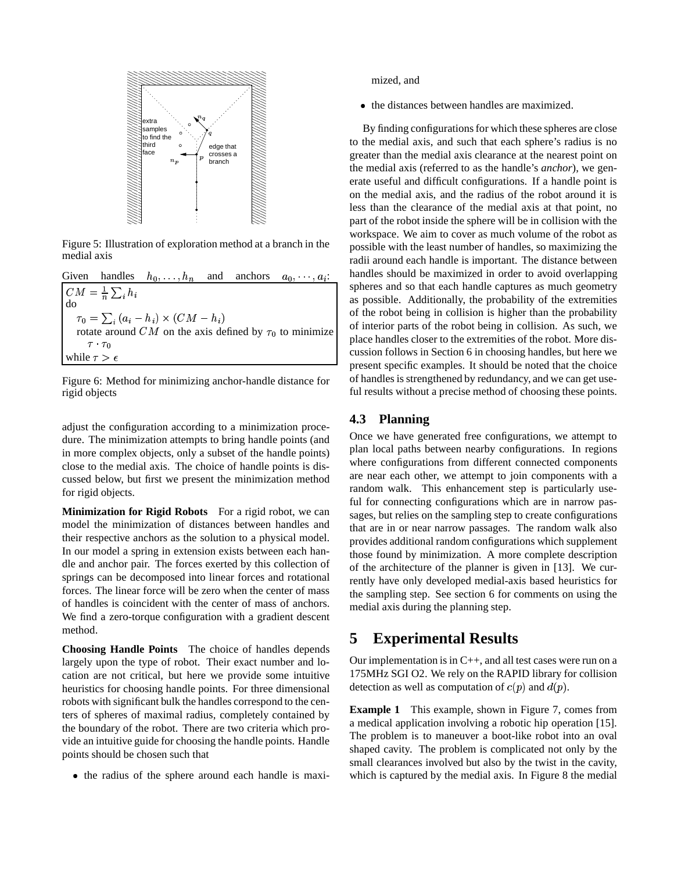

Figure 5: Illustration of exploration method at a branch in the medial axis

Given handles  $h_0, \ldots, h_n$ anchors and anchors  $a_0, \dots, a_i$ :  $CM = \frac{1}{n} \sum_i h_i$ do  $T_0 = \sum_i (a_i - h_i) \times (CM - h_i)$ rotate around CM on the axis defined by  $\tau_0$  to minimize  $\tau \cdot \tau_0$ while  $\tau > \epsilon$ 

Figure 6: Method for minimizing anchor-handle distance for rigid objects

adjust the configuration according to a minimization procedure. The minimization attempts to bring handle points (and in more complex objects, only a subset of the handle points) close to the medial axis. The choice of handle points is discussed below, but first we present the minimization method for rigid objects.

**Minimization for Rigid Robots** For a rigid robot, we can model the minimization of distances between handles and their respective anchors as the solution to a physical model. In our model a spring in extension exists between each handle and anchor pair. The forces exerted by this collection of springs can be decomposed into linear forces and rotational forces. The linear force will be zero when the center of mass of handles is coincident with the center of mass of anchors. We find a zero-torque configuration with a gradient descent method.

**Choosing Handle Points** The choice of handles depends largely upon the type of robot. Their exact number and location are not critical, but here we provide some intuitive heuristics for choosing handle points. For three dimensional robots with significant bulk the handles correspond to the centers of spheres of maximal radius, completely contained by the boundary of the robot. There are two criteria which provide an intuitive guide for choosing the handle points. Handle points should be chosen such that

• the radius of the sphere around each handle is maxi-

mized, and

the distances between handles are maximized.

 $\mathbb{R}$  and  $\mathbb{R}$  and  $\mathbb{R}$  be in collision with the sphere will be in collision with the less than the clearance of the medial axis at that point, no on the medial axis, and the radius of the robot around it is erate useful and difficult configurations. If a handle point is the medial axis (referred to as the handle's *anchor*), we gen- greater than the medial axis clearance at the nearest point on to the medial axis, and such that each sphere's radius is no By finding configurations for which these spheres are close workspace. We aim to cover as much volume of the robot as possible with the least number of handles, so maximizing the radii around each handle is important. The distance between handles should be maximized in order to avoid overlapping spheres and so that each handle captures as much geometry as possible. Additionally, the probability of the extremities of the robot being in collision is higher than the probability of interior parts of the robot being in collision. As such, we place handles closer to the extremities of the robot. More discussion follows in Section 6 in choosing handles, but here we present specific examples. It should be noted that the choice of handles is strengthened by redundancy, and we can get useful results without a precise method of choosing these points.

### **4.3 Planning**

Once we have generated free configurations, we attempt to plan local paths between nearby configurations. In regions where configurations from different connected components are near each other, we attempt to join components with a random walk. This enhancement step is particularly useful for connecting configurations which are in narrow passages, but relies on the sampling step to create configurations that are in or near narrow passages. The random walk also provides additional random configurations which supplement those found by minimization. A more complete description of the architecture of the planner is given in [13]. We currently have only developed medial-axis based heuristics for the sampling step. See section 6 for comments on using the medial axis during the planning step.

## **5 Experimental Results**

Our implementation is in C++, and all test cases were run on a 175MHz SGI O2. We rely on the RAPID library for collision detection as well as computation of  $c(p)$  and  $d(p)$ .

**Example 1** This example, shown in Figure 7, comes from a medical application involving a robotic hip operation [15]. The problem is to maneuver a boot-like robot into an oval shaped cavity. The problem is complicated not only by the small clearances involved but also by the twist in the cavity, which is captured by the medial axis. In Figure 8 the medial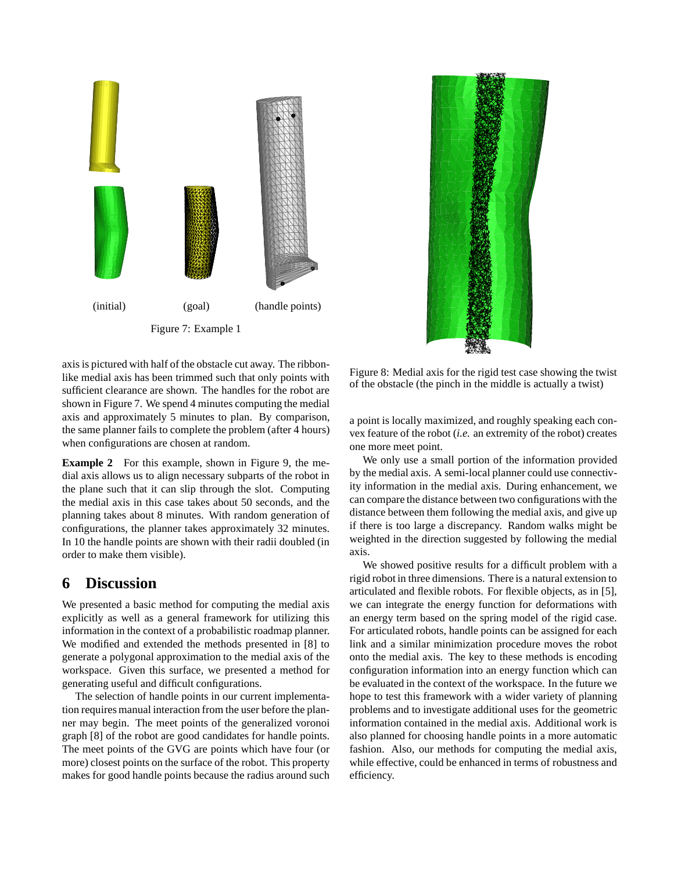



axis is pictured with half of the obstacle cut away. The ribbonlike medial axis has been trimmed such that only points with sufficient clearance are shown. The handles for the robot are shown in Figure 7. We spend 4 minutes computing the medial axis and approximately 5 minutes to plan. By comparison, the same planner fails to complete the problem (after 4 hours) when configurations are chosen at random.

**Example 2** For this example, shown in Figure 9, the medial axis allows us to align necessary subparts of the robot in the plane such that it can slip through the slot. Computing the medial axis in this case takes about 50 seconds, and the planning takes about 8 minutes. With random generation of configurations, the planner takes approximately 32 minutes. In 10 the handle points are shown with their radii doubled (in order to make them visible).

## **6 Discussion**

We presented a basic method for computing the medial axis explicitly as well as a general framework for utilizing this information in the context of a probabilistic roadmap planner. We modified and extended the methods presented in [8] to generate a polygonal approximation to the medial axis of the workspace. Given this surface, we presented a method for generating useful and difficult configurations.

The selection of handle points in our current implementation requires manual interaction from the user before the planner may begin. The meet points of the generalized voronoi graph [8] of the robot are good candidates for handle points. The meet points of the GVG are points which have four (or more) closest points on the surface of the robot. This property makes for good handle points because the radius around such

Figure 8: Medial axis for the rigid test case showing the twist of the obstacle (the pinch in the middle is actually a twist)

a point is locally maximized, and roughly speaking each convex feature of the robot (*i.e.* an extremity of the robot) creates one more meet point.

We only use a small portion of the information provided by the medial axis. A semi-local planner could use connectivity information in the medial axis. During enhancement, we can compare the distance between two configurations with the distance between them following the medial axis, and give up if there is too large a discrepancy. Random walks might be weighted in the direction suggested by following the medial axis.

We showed positive results for a difficult problem with a rigid robot in three dimensions. There is a natural extension to articulated and flexible robots. For flexible objects, as in [5], we can integrate the energy function for deformations with an energy term based on the spring model of the rigid case. For articulated robots, handle points can be assigned for each link and a similar minimization procedure moves the robot onto the medial axis. The key to these methods is encoding configuration information into an energy function which can be evaluated in the context of the workspace. In the future we hope to test this framework with a wider variety of planning problems and to investigate additional uses for the geometric information contained in the medial axis. Additional work is also planned for choosing handle points in a more automatic fashion. Also, our methods for computing the medial axis, while effective, could be enhanced in terms of robustness and efficiency.